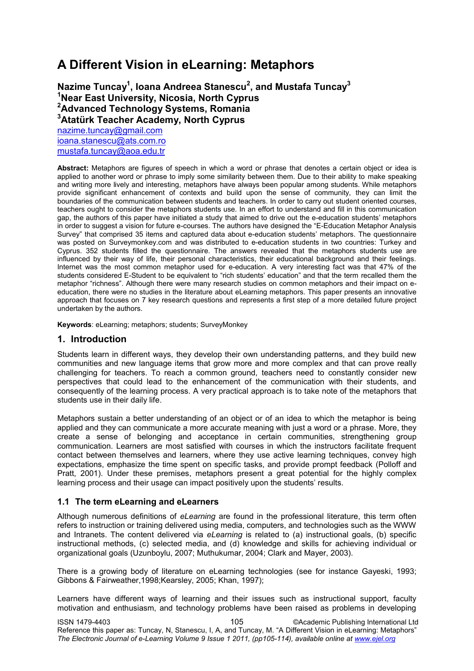# **A Different Vision in eLearning: Metaphors**

### **Nazime Tuncay<sup>1</sup> , Ioana Andreea Stanescu<sup>2</sup> , and Mustafa Tuncay<sup>3</sup> <sup>1</sup>Near East University, Nicosia, North Cyprus <sup>2</sup>Advanced Technology Systems, Romania <sup>3</sup>Atatürk Teacher Academy, North Cyprus**

[nazime.tuncay@gmail.com](mailto:nazime.tuncay@gmail.com) [ioana.stanescu@ats.com.ro](mailto:ioana.stanescu@ats.com.ro) [mustafa.tuncay@aoa.edu.tr](mailto:mustafa.tuncay@aoa.edu.tr)

**Abstract:** Metaphors are figures of speech in which a word or phrase that denotes a certain object or idea is applied to another word or phrase to imply some similarity between them. Due to their ability to make speaking and writing more lively and interesting, metaphors have always been popular among students. While metaphors provide significant enhancement of contexts and build upon the sense of community, they can limit the boundaries of the communication between students and teachers. In order to carry out student oriented courses, teachers ought to consider the metaphors students use. In an effort to understand and fill in this communication gap, the authors of this paper have initiated a study that aimed to drive out the e-education students" metaphors in order to suggest a vision for future e-courses. The authors have designed the "E-Education Metaphor Analysis Survey" that comprised 35 items and captured data about e-education students" metaphors. The questionnaire was posted on Surveymonkey.com and was distributed to e-education students in two countries: Turkey and Cyprus. 352 students filled the questionnaire. The answers revealed that the metaphors students use are influenced by their way of life, their personal characteristics, their educational background and their feelings. Internet was the most common metaphor used for e-education. A very interesting fact was that 47% of the students considered E-Student to be equivalent to "rich students" education" and that the term recalled them the metaphor "richness". Although there were many research studies on common metaphors and their impact on eeducation, there were no studies in the literature about eLearning metaphors. This paper presents an innovative approach that focuses on 7 key research questions and represents a first step of a more detailed future project undertaken by the authors.

**Keywords**: eLearning; metaphors; students; SurveyMonkey

#### **1. Introduction**

Students learn in different ways, they develop their own understanding patterns, and they build new communities and new language items that grow more and more complex and that can prove really challenging for teachers. To reach a common ground, teachers need to constantly consider new perspectives that could lead to the enhancement of the communication with their students, and consequently of the learning process. A very practical approach is to take note of the metaphors that students use in their daily life.

Metaphors sustain a better understanding of an object or of an idea to which the metaphor is being applied and they can communicate a more accurate meaning with just a word or a phrase. More, they create a sense of belonging and acceptance in certain communities, strengthening group communication. Learners are most satisfied with courses in which the instructors facilitate frequent contact between themselves and learners, where they use active learning techniques, convey high expectations, emphasize the time spent on specific tasks, and provide prompt feedback (Polloff and Pratt, 2001). Under these premises, metaphors present a great potential for the highly complex learning process and their usage can impact positively upon the students' results.

#### **1.1 The term eLearning and eLearners**

Although numerous definitions of *eLearning* are found in the professional literature, this term often refers to instruction or training delivered using media, computers, and technologies such as the WWW and Intranets. The content delivered via *eLearning* is related to (a) instructional goals, (b) specific instructional methods, (c) selected media, and (d) knowledge and skills for achieving individual or organizational goals (Uzunboylu, 2007; Muthukumar, 2004; Clark and Mayer, 2003).

There is a growing body of literature on eLearning technologies (see for instance Gayeski, 1993; Gibbons & Fairweather,1998;Kearsley, 2005; Khan, 1997);

Learners have different ways of learning and their issues such as instructional support, faculty motivation and enthusiasm, and technology problems have been raised as problems in developing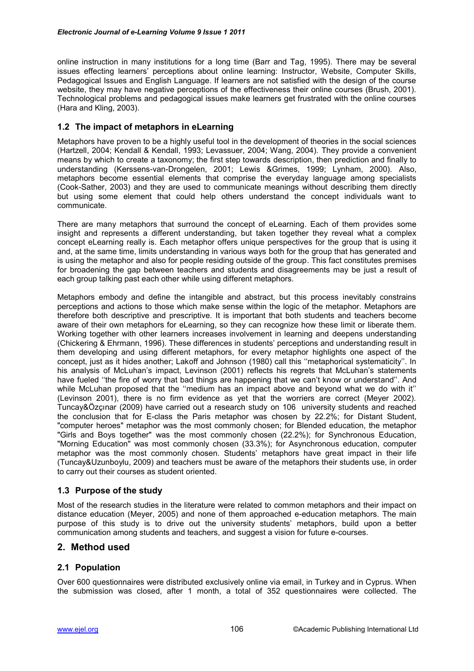online instruction in many institutions for a long time (Barr and Tag, 1995). There may be several issues effecting learners' perceptions about online learning: Instructor, Website, Computer Skills, Pedagogical Issues and English Language. If learners are not satisfied with the design of the course website, they may have negative perceptions of the effectiveness their online courses (Brush, 2001). Technological problems and pedagogical issues make learners get frustrated with the online courses (Hara and Kling, 2003).

#### **1.2 The impact of metaphors in eLearning**

Metaphors have proven to be a highly useful tool in the development of theories in the social sciences (Hartzell, 2004; Kendall & Kendall, 1993; Levassuer, 2004; Wang, 2004). They provide a convenient means by which to create a taxonomy; the first step towards description, then prediction and finally to understanding (Kerssens-van-Drongelen, 2001; Lewis &Grimes, 1999; Lynham, 2000). Also, metaphors become essential elements that comprise the everyday language among specialists (Cook-Sather, 2003) and they are used to communicate meanings without describing them directly but using some element that could help others understand the concept individuals want to communicate.

There are many metaphors that surround the concept of eLearning. Each of them provides some insight and represents a different understanding, but taken together they reveal what a complex concept eLearning really is. Each metaphor offers unique perspectives for the group that is using it and, at the same time, limits understanding in various ways both for the group that has generated and is using the metaphor and also for people residing outside of the group. This fact constitutes premises for broadening the gap between teachers and students and disagreements may be just a result of each group talking past each other while using different metaphors.

Metaphors embody and define the intangible and abstract, but this process inevitably constrains perceptions and actions to those which make sense within the logic of the metaphor. Metaphors are therefore both descriptive and prescriptive. It is important that both students and teachers become aware of their own metaphors for eLearning, so they can recognize how these limit or liberate them. Working together with other learners increases involvement in learning and deepens understanding (Chickering & Ehrmann, 1996). These differences in students" perceptions and understanding result in them developing and using different metaphors, for every metaphor highlights one aspect of the concept, just as it hides another; Lakoff and Johnson (1980) call this "metaphorical systematicity". In his analysis of McLuhan's impact, Levinson (2001) reflects his regrets that McLuhan's statements have fueled "the fire of worry that bad things are happening that we can't know or understand". And while McLuhan proposed that the "medium has an impact above and beyond what we do with it" (Levinson 2001), there is no firm evidence as yet that the worriers are correct (Meyer 2002). Tuncay&Özçınar (2009) have carried out a research study on 106 university students and reached the conclusion that for E-class the Paris metaphor was chosen by 22.2%; for Distant Student, "computer heroes" metaphor was the most commonly chosen; for Blended education, the metaphor "Girls and Boys together" was the most commonly chosen (22.2%); for Synchronous Education, "Morning Education" was most commonly chosen (33.3%); for Asynchronous education, computer metaphor was the most commonly chosen. Students" metaphors have great impact in their life (Tuncay&Uzunboylu, 2009) and teachers must be aware of the metaphors their students use, in order to carry out their courses as student oriented.

#### **1.3 Purpose of the study**

Most of the research studies in the literature were related to common metaphors and their impact on distance education (Meyer, 2005) and none of them approached e-education metaphors. The main purpose of this study is to drive out the university students" metaphors, build upon a better communication among students and teachers, and suggest a vision for future e-courses.

#### **2. Method used**

#### **2.1 Population**

Over 600 questionnaires were distributed exclusively online via email, in Turkey and in Cyprus. When the submission was closed, after 1 month, a total of 352 questionnaires were collected. The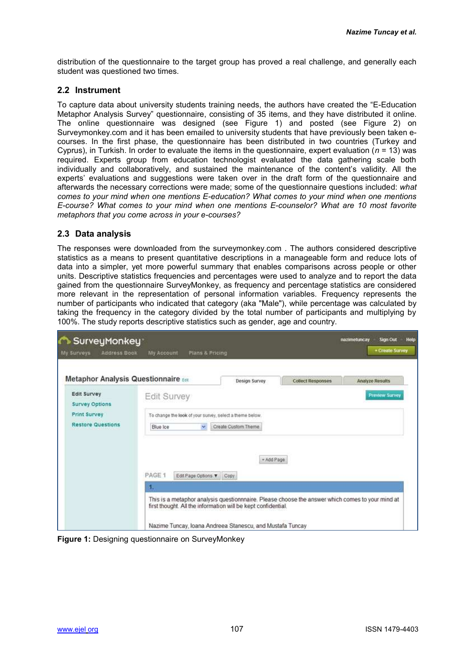distribution of the questionnaire to the target group has proved a real challenge, and generally each student was questioned two times.

#### **2.2 Instrument**

To capture data about university students training needs, the authors have created the "E-Education Metaphor Analysis Survey" questionnaire, consisting of 35 items, and they have distributed it online. The online questionnaire was designed (see Figure 1) and posted (see Figure 2) on Surveymonkey.com and it has been emailed to university students that have previously been taken ecourses. In the first phase, the questionnaire has been distributed in two countries (Turkey and Cyprus), in Turkish. In order to evaluate the items in the questionnaire, expert evaluation (*n* = 13) was required. Experts group from education technologist evaluated the data gathering scale both individually and collaboratively, and sustained the maintenance of the content's validity. All the experts' evaluations and suggestions were taken over in the draft form of the questionnaire and afterwards the necessary corrections were made; some of the questionnaire questions included: *what comes to your mind when one mentions E-education? What comes to your mind when one mentions E-course? What comes to your mind when one mentions E-counselor? What are 10 most favorite metaphors that you come across in your e-courses?*

#### **2.3 Data analysis**

The responses were downloaded from the surveymonkey.com . The authors considered descriptive statistics as a means to present quantitative descriptions in a manageable form and reduce lots of data into a simpler, yet more powerful summary that enables comparisons across people or other units. Descriptive statistics frequencies and percentages were used to analyze and to report the data gained from the questionnaire SurveyMonkey, as frequency and percentage statistics are considered more relevant in the representation of personal information variables. Frequency represents the number of participants who indicated that category (aka "Male"), while percentage was calculated by taking the frequency in the category divided by the total number of participants and multiplying by 100%. The study reports descriptive statistics such as gender, age and country.

| <b>Address Book</b><br>My Surveys    | <b>My Account</b><br>Plans & Pricing                                                                                                                              |                      |                          | + Create Survey        |  |
|--------------------------------------|-------------------------------------------------------------------------------------------------------------------------------------------------------------------|----------------------|--------------------------|------------------------|--|
| Metaphor Analysis Questionnaire Edit |                                                                                                                                                                   | <b>Design Survey</b> | <b>Collect Responses</b> | <b>Analyze Results</b> |  |
| Edit Survey<br><b>Survey Options</b> | Edit Survey                                                                                                                                                       |                      |                          | <b>Preview Survey</b>  |  |
| <b>Print Survey</b>                  | To change the look of your survey, select a theme below.                                                                                                          |                      |                          |                        |  |
| <b>Restore Questions</b>             | Blue Ice<br>N.                                                                                                                                                    | Create Custom Theme: |                          |                        |  |
|                                      | - Add Page<br>PAGE 1<br>Edit Page Options<br>Copy<br>б.                                                                                                           |                      |                          |                        |  |
|                                      | This is a metaphor analysis questionnnaire. Please choose the answer which comes to your mind at<br>first thought. All the information will be kept confidential. |                      |                          |                        |  |
|                                      | Nazime Tuncay, Ioana Andreea Stanescu, and Mustafa Tuncay                                                                                                         |                      |                          |                        |  |

**Figure 1:** Designing questionnaire on SurveyMonkey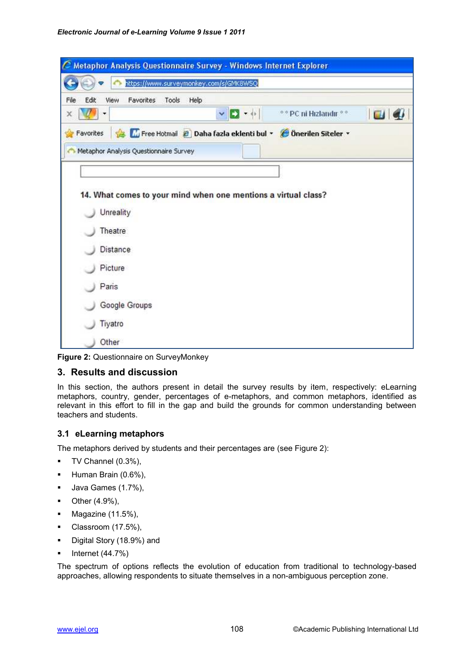| Metaphor Analysis Questionnaire Survey - Windows Internet Explorer                                             |                |
|----------------------------------------------------------------------------------------------------------------|----------------|
| https://www.surveymonkey.com/s/GMK8W5Q                                                                         |                |
| Edit<br>View<br>Favorites<br>Tools<br>Help<br>File                                                             |                |
| $\mathbf{v} = \mathbf{v} + \mathbf{v}$<br><sup>o o</sup> PC ni Hızlandır <sup>o o</sup><br>$\mathbb{Z}$ .<br>x | $\blacksquare$ |
| Free Hotmail 2 Daha fazla eklenti bul · C Önerilen Siteler ·<br>Favorites                                      |                |
| Metaphor Analysis Questionnaire Survey                                                                         |                |
|                                                                                                                |                |
|                                                                                                                |                |
| 14. What comes to your mind when one mentions a virtual class?                                                 |                |
| Unreality                                                                                                      |                |
| Theatre                                                                                                        |                |
| <b>Distance</b>                                                                                                |                |
| Picture                                                                                                        |                |
| Paris                                                                                                          |                |
| Google Groups                                                                                                  |                |
| Tiyatro                                                                                                        |                |
| Other                                                                                                          |                |

**Figure 2:** Questionnaire on SurveyMonkey

#### **3. Results and discussion**

In this section, the authors present in detail the survey results by item, respectively: eLearning metaphors, country, gender, percentages of e-metaphors, and common metaphors, identified as relevant in this effort to fill in the gap and build the grounds for common understanding between teachers and students.

#### **3.1 eLearning metaphors**

The metaphors derived by students and their percentages are (see Figure 2):

- TV Channel (0.3%),
- Human Brain (0.6%),
- **Java Games (1.7%),**
- $\blacksquare$  Other (4.9%),
- $\blacksquare$  Magazine (11.5%),
- Classroom (17.5%),
- Digital Story (18.9%) and
- $\blacksquare$  Internet (44.7%)

The spectrum of options reflects the evolution of education from traditional to technology-based approaches, allowing respondents to situate themselves in a non-ambiguous perception zone.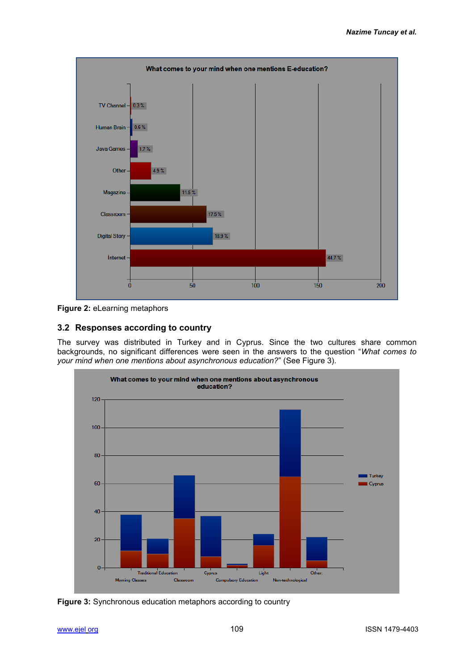

**Figure 2:** eLearning metaphors

## **3.2 Responses according to country**

The survey was distributed in Turkey and in Cyprus. Since the two cultures share common backgrounds, no significant differences were seen in the answers to the question "*What comes to your mind when one mentions about asynchronous education?*" (See Figure 3).



**Figure 3:** Synchronous education metaphors according to country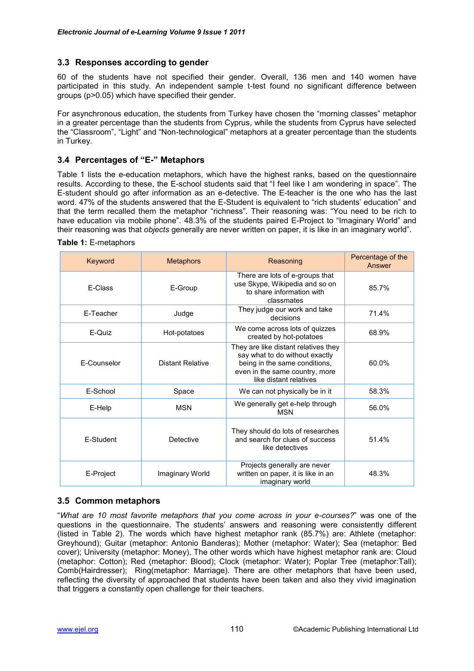#### **3.3 Responses according to gender**

60 of the students have not specified their gender. Overall, 136 men and 140 women have participated in this study. An independent sample t-test found no significant difference between groups (p>0.05) which have specified their gender.

For asynchronous education, the students from Turkey have chosen the "morning classes" metaphor in a greater percentage than the students from Cyprus, while the students from Cyprus have selected the "Classroom", "Light" and "Non-technological" metaphors at a greater percentage than the students in Turkey.

#### **3.4 Percentages of "E-" Metaphors**

Table 1 lists the e-education metaphors, which have the highest ranks, based on the questionnaire results. According to these, the E-school students said that "I feel like I am wondering in space". The E-student should go after information as an e-detective. The E-teacher is the one who has the last word. 47% of the students answered that the E-Student is equivalent to "rich students" education" and that the term recalled them the metaphor "richness". Their reasoning was: "You need to be rich to have education via mobile phone". 48.3% of the students paired E-Project to "Imaginary World" and their reasoning was that *objects* generally are never written on paper, it is like in an imaginary world".

**Table 1:** E-metaphors

| Keyword     | <b>Metaphors</b> | Reasoning                                                                                                                                                           | Percentage of the<br>Answer |
|-------------|------------------|---------------------------------------------------------------------------------------------------------------------------------------------------------------------|-----------------------------|
| E-Class     | E-Group          | There are lots of e-groups that<br>use Skype, Wikipedia and so on<br>to share information with<br>classmates                                                        | 85.7%                       |
| E-Teacher   | Judge            | They judge our work and take<br>decisions                                                                                                                           | 71.4%                       |
| E-Quiz      | Hot-potatoes     | We come across lots of quizzes<br>created by hot-potatoes                                                                                                           | 68.9%                       |
| F-Counselor | Distant Relative | They are like distant relatives they<br>say what to do without exactly<br>being in the same conditions,<br>even in the same country, more<br>like distant relatives | 60.0%                       |
| E-School    | Space            | We can not physically be in it                                                                                                                                      | 58.3%                       |
| E-Help      | <b>MSN</b>       | We generally get e-help through<br><b>MSN</b>                                                                                                                       | 56.0%                       |
| E-Student   | Detective        | They should do lots of researches<br>and search for clues of success<br>like detectives                                                                             | 51.4%                       |
| E-Project   | Imaginary World  | Projects generally are never<br>written on paper, it is like in an<br>imaginary world                                                                               | 48.3%                       |

#### **3.5 Common metaphors**

"*What are 10 most favorite metaphors that you come across in your e-courses?*" was one of the questions in the questionnaire. The students" answers and reasoning were consistently different (listed in Table 2). The words which have highest metaphor rank (85.7%) are: Athlete (metaphor: Greyhound); Guitar (metaphor: Antonio Banderas); Mother (metaphor: Water); Sea (metaphor: Bed cover); University (metaphor: Money), The other words which have highest metaphor rank are: Cloud (metaphor: Cotton); Red (metaphor: Blood); Clock (metaphor: Water); Poplar Tree (metaphor:Tall); Comb(Hairdresser); Ring(metaphor: Marriage). There are other metaphors that have been used, reflecting the diversity of approached that students have been taken and also they vivid imagination that triggers a constantly open challenge for their teachers.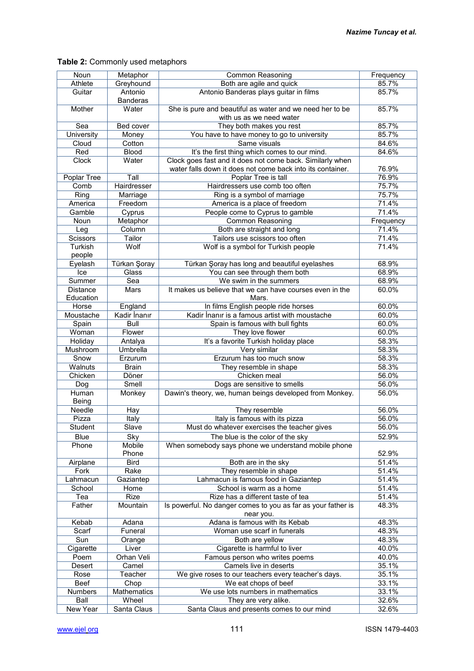#### Noun Metaphor Common Reasoning Frequency<br>
Athlete Greyhound Both are agile and quick 85.7% Athlete Greyhound Both are agile and quick 85.7%<br>
Guitar Antonio Antonio Banderas plays quitar in films 85.7% **Antonio** Banderas<br>Water Antonio Banderas plays guitar in films Mother Water She is pure and beautiful as water and we need her to be with us as we need water 85.7% Sea Bed cover They both makes you rest 85.7%<br>University Money You have to have money to go to university 85.7% niversity Money You have to have money to go to university 85.7%<br>Cloud Cotton Same visuals 84.6% Cloud Cotton Same visuals 84.6%<br>
Red Blood It's the first thing which comes to our mind. 84.6% Red Blood It's the first thing which comes to our mind.<br>Clock Water Clock goes fast and it does not come back. Similar Clock goes fast and it does not come back. Similarly when water falls down it does not come back into its container. | 76.9% Poplar Tree Tall Poplar Tree is tall 76.9%<br>
Comb Hairdresser Hairdressers use comb too often 75.7% Comb Hairdresser Hairdressers use comb too often Ring Marriage Ring is a symbol of marriage 75.7% America | Freedom | America is a place of freedom | 71.4% Gamble Cyprus People come to Cyprus to gamble 71.4% Noun Metaphor Common Reasoning Frequency Leg Column Both are straight and long 71.4%<br>Cissors Tailor Tailor Tailors use scissors too often 71.4% Scissors Tailor Tailor Tailors use scissors too often **Turkish** people Wolf is a symbol for Turkish people 71.4% Eyelash Türkan Şoray Türkan Şoray has long and beautiful eyelashes 68.9% Ice Glass You can see through them both 68.9%<br>
Summer Sea We swim in the summers 68.9% Sea We swim in the summers **Distance Education** Mars It makes us believe that we can have courses even in the Mars. 60.0% Horse England In films English people ride horses 60.0% Moustache Kadir İnanır Kadir İnanır is a famous artist with moustache 60.0% Spain Bull Spain is famous with bull fights 60.0%<br>
Moman Flower They love flower 60.0% Woman Flower They love flower they have flower the medicine of the flower the flower the flower the flower the flower the flower the flower the flower the flower the flower that the flower the flower the flower the flower Holiday Antalya It's a favorite Turkish holiday place 58.3%<br>Mushroom Umbrella Very similar 58.3% Very similar Snow Erzurum Erzurum has too much snow 58.3% Walnuts Brain **Brain** They resemble in shape 58.3% Chicken Döner Chicken meal 56.0% Dog Smell | Dogs are sensitive to smells 56.0% Human Being Monkey Dawin's theory, we, human beings developed from Monkey. 56.0% Needle Hay They resemble 56.0% Pizza Italy Italy Italy is famous with its pizza 56.0% Student Slave Must do whatever exercises the teacher gives 56.0% Blue Sky The blue is the color of the sky 52.9% Phone Mobile Phone When somebody says phone we understand mobile phone 52.9% Airplane Bird Bird Both are in the sky 51.4% Fork Rake They resemble in shape 51.4%<br>
Lahmacun Gaziantep Lahmacun is famous food in Gaziantep 51.4% Lahmacun is famous food in Gaziantep School Home School is warm as a home 51.4% Tea Rize Rize Rize has a different taste of tea 51.4%<br>Father Mountain Is powerful. No danger comes to you as far as your father is 48.3% Mountain **Is powerful. No danger comes to you as far as your father is** near you. 48.3% Kebab Adana Adana is famous with its Kebab 48.3%<br>Scarf Funeral Woman use scarf in funerals 48.3% Woman use scarf in funerals Sun Orange Both are yellow 48.3% <br>Cigarette Liver Cigarette is harmful to liver 40.0% Liver and Cigarette is harmful to liver and the 40.0% Poem Orhan Veli Famous person who writes poems 40.0% Desert Camel Camel Camels live in deserts 35.1% Rose Teacher We give roses to our teachers every teacher's days. 35.1%<br>Reef Chop We eat chops of beef 33.1% Beef Chop We eat chops of beef 33.1%<br>Numbers Mathematics We use lots numbers in mathematics 33.1% numbers Mathematics We use lots numbers in mathematics 33.1%<br>
Rall Wheel They are very alike 32.6% Ball Wheel They are very alike. 32.6%<br>New Year Santa Claus Santa Claus and presents comes to our mind 32.6% Santa Claus and presents comes to our mind

#### **Table 2:** Commonly used metaphors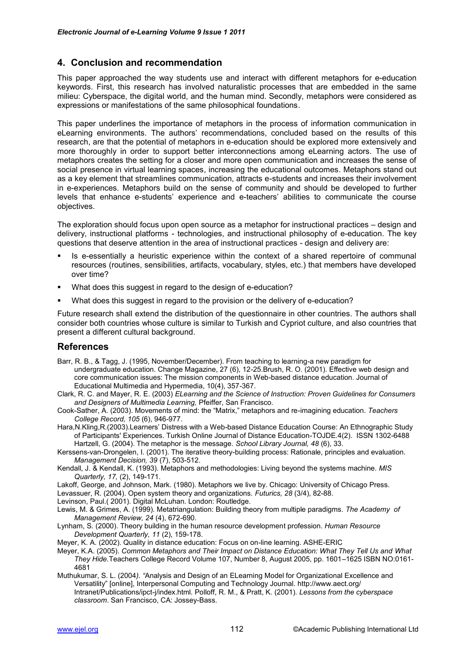#### **4. Conclusion and recommendation**

This paper approached the way students use and interact with different metaphors for e-education keywords. First, this research has involved naturalistic processes that are embedded in the same milieu: Cyberspace, the digital world, and the human mind. Secondly, metaphors were considered as expressions or manifestations of the same philosophical foundations.

This paper underlines the importance of metaphors in the process of information communication in eLearning environments. The authors" recommendations, concluded based on the results of this research, are that the potential of metaphors in e-education should be explored more extensively and more thoroughly in order to support better interconnections among eLearning actors. The use of metaphors creates the setting for a closer and more open communication and increases the sense of social presence in virtual learning spaces, increasing the educational outcomes. Metaphors stand out as a key element that streamlines communication, attracts e-students and increases their involvement in e-experiences. Metaphors build on the sense of community and should be developed to further levels that enhance e-students" experience and e-teachers" abilities to communicate the course objectives.

The exploration should focus upon open source as a metaphor for instructional practices – design and delivery, instructional platforms - technologies, and instructional philosophy of e-education. The key questions that deserve attention in the area of instructional practices - design and delivery are:

- Is e-essentially a heuristic experience within the context of a shared repertoire of communal resources (routines, sensibilities, artifacts, vocabulary, styles, etc.) that members have developed over time?
- What does this suggest in regard to the design of e-education?
- What does this suggest in regard to the provision or the delivery of e-education?

Future research shall extend the distribution of the questionnaire in other countries. The authors shall consider both countries whose culture is similar to Turkish and Cypriot culture, and also countries that present a different cultural background.

#### **References**

- Barr, R. B., & Tagg, J. (1995, November/December). From teaching to learning-a new paradigm for undergraduate education. Change Magazine, 27 (6), 12-25.Brush, R. O. (2001). Effective web design and core communication issues: The mission components in Web-based distance education. Journal of Educational Multimedia and Hypermedia, 10(4), 357-367.
- Clark, R. C. and Mayer, R. E. (2003) *ELearning and the Science of Instruction: Proven Guidelines for Consumers and Designers of Multimedia Learning,* Pfeiffer, San Francisco.
- Cook-Sather, A. (2003). Movements of mind: the "Matrix," metaphors and re-imagining education. *Teachers College Record, 105* (6), 946-977.
- Hara,N.Kling,R.(2003).Learners" Distress with a Web-based Distance Education Course: An Ethnographic Study of Participants' Experiences. Turkish Online Journal of Distance Education-TOJDE.4(2). ISSN 1302-6488 Hartzell, G. (2004). The metaphor is the message. *School Library Journal, 48* (6), 33.
- Kerssens-van-Drongelen, I. (2001). The iterative theory-building process: Rationale, principles and evaluation. *Management Decision, 39* (7), 503-512.
- Kendall, J. & Kendall, K. (1993). Metaphors and methodologies: Living beyond the systems machine. *MIS Quarterly, 17,* (2), 149-171.
- Lakoff, George, and Johnson, Mark. (1980). Metaphors we live by. Chicago: University of Chicago Press.
- Levassuer, R. (2004). Open system theory and organizations. *Futurics, 28* (3/4), 82-88.

Levinson, Paul.( 2001). Digital McLuhan. London: Routledge.

- Lewis, M. & Grimes, A. (1999). Metatriangulation: Building theory from multiple paradigms. *The Academy of Management Review, 24* (4), 672-690.
- Lynham, S. (2000). Theory building in the human resource development profession. *Human Resource Development Quarterly, 11* (2), 159-178.

Meyer, K. A. (2002). Quality in distance education: Focus on on-line learning. ASHE-ERIC

- Meyer, K.A. (2005). *Common Metaphors and Their Impact on Distance Education: What They Tell Us and What They Hide.*Teachers College Record Volume 107, Number 8, August 2005, pp. 1601–1625 ISBN NO:0161- 4681
- Muthukumar, S. L. (2004*). "*Analysis and Design of an ELearning Model for Organizational Excellence and Versatility" [online], Interpersonal Computing and Technology Journal*.* http://www.aect.org/ Intranet/Publications/ipct-j/index.html. Polloff, R. M., & Pratt, K. (2001). *Lessons from the cyberspace classroom*. San Francisco, CA: Jossey-Bass.